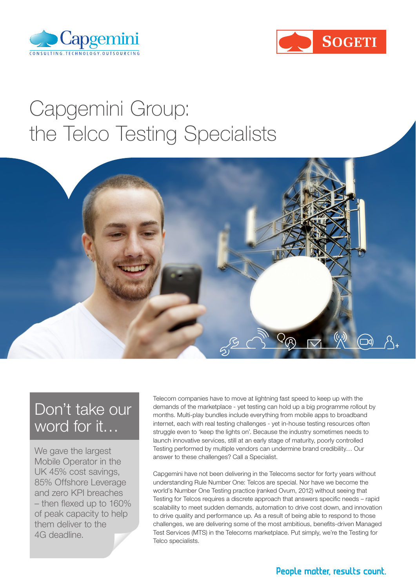



# Capgemini Group: the Telco Testing Specialists



### Don't take our word for it…

We gave the largest Mobile Operator in the UK 45% cost savings, 85% Offshore Leverage and zero KPI breaches – then flexed up to 160% of peak capacity to help them deliver to the 4G deadline.

Telecom companies have to move at lightning fast speed to keep up with the demands of the marketplace - yet testing can hold up a big programme rollout by months. Multi-play bundles include everything from mobile apps to broadband internet, each with real testing challenges - yet in-house testing resources often struggle even to 'keep the lights on'. Because the industry sometimes needs to launch innovative services, still at an early stage of maturity, poorly controlled Testing performed by multiple vendors can undermine brand credibility… Our answer to these challenges? Call a Specialist.

Capgemini have not been delivering in the Telecoms sector for forty years without understanding Rule Number One: Telcos are special. Nor have we become the world's Number One Testing practice (ranked Ovum, 2012) without seeing that Testing for Telcos requires a discrete approach that answers specific needs – rapid scalability to meet sudden demands, automation to drive cost down, and innovation to drive quality and performance up. As a result of being able to respond to those challenges, we are delivering some of the most ambitious, benefits-driven Managed Test Services (MTS) in the Telecoms marketplace. Put simply, we're the Testing for Telco specialists.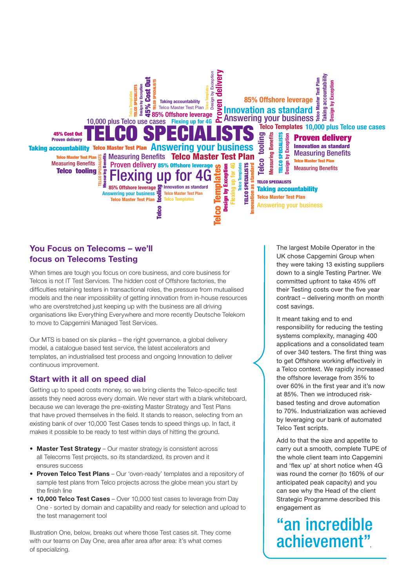

#### You Focus on Telecoms – we'll focus on Telecoms Testing

When times are tough you focus on core business, and core business for Telcos is not IT Test Services. The hidden cost of Offshore factories, the difficulties retaining testers in transactional roles, the pressure from mutualised models and the near impossibility of getting innovation from in-house resources who are overstretched just keeping up with the business are all driving organisations like Everything Everywhere and more recently Deutsche Telekom to move to Capgemini Managed Test Services.

Our MTS is based on six planks – the right governance, a global delivery model, a catalogue based test service, the latest accelerators and templates, an industrialised test process and ongoing Innovation to deliver continuous improvement.

#### Start with it all on speed dial

Getting up to speed costs money, so we bring clients the Telco-specific test assets they need across every domain. We never start with a blank whiteboard, because we can leverage the pre-existing Master Strategy and Test Plans that have proved themselves in the field. It stands to reason, selecting from an existing bank of over 10,000 Test Cases tends to speed things up. In fact, it makes it possible to be ready to test within days of hitting the ground.

- Master Test Strategy Our master strategy is consistent across all Telecoms Test projects, so its standardized, its proven and it ensures success
- Proven Telco Test Plans Our 'oven-ready' templates and a repository of sample test plans from Telco projects across the globe mean you start by the finish line
- 10,000 Telco Test Cases Over 10,000 test cases to leverage from Day One - sorted by domain and capability and ready for selection and upload to the test management tool

Illustration One, below, breaks out where those Test cases sit. They come with our teams on Day One, area after area after area: it's what comes of specializing.

The largest Mobile Operator in the UK chose Capgemini Group when they were taking 13 existing suppliers down to a single Testing Partner. We committed upfront to take 45% off their Testing costs over the five year contract – delivering month on month cost savings.

It meant taking end to end responsibility for reducing the testing systems complexity, managing 400 applications and a consolidated team of over 340 testers. The first thing was to get Offshore working effectively in a Telco context. We rapidly increased the offshore leverage from 35% to over 60% in the first year and it's now at 85%. Then we introduced riskbased testing and drove automation to 70%. Industrialization was achieved by leveraging our bank of automated Telco Test scripts.

Add to that the size and appetite to carry out a smooth, complete TUPE of the whole client team into Capgemini and 'flex up' at short notice when 4G was round the corner (to 160% of our anticipated peak capacity) and you can see why the Head of the client Strategic Programme described this engagement as

"an incredible achievement".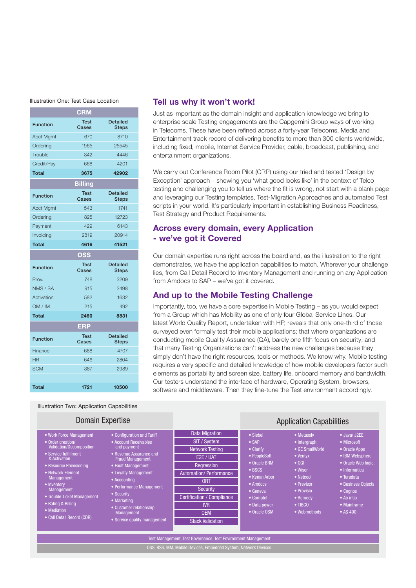#### Illustration One: Test Case Location

|                  | <b>CRM</b>                |                                 |  |
|------------------|---------------------------|---------------------------------|--|
| <b>Function</b>  | <b>Test</b><br>Cases      | <b>Detailed</b><br><b>Steps</b> |  |
| <b>Acct Mgmt</b> | 670                       | 8710                            |  |
| Ordering         | 1965                      | 25545                           |  |
| Trouble          | 342                       | 4446                            |  |
| Credit/Pay       | 668                       | 4201                            |  |
| <b>Total</b>     | 3675                      | 42902                           |  |
|                  | <b>Billing</b>            |                                 |  |
| <b>Function</b>  | <b>Test</b><br>Cases      | <b>Detailed</b><br><b>Steps</b> |  |
| <b>Acct Mgmt</b> | 543                       | 1741                            |  |
| Ordering         | 825                       | 12723                           |  |
| Payment          | 429                       | 6143                            |  |
| Invoicing        | 2819                      | 20914                           |  |
| <b>Total</b>     | 4616                      | 41521                           |  |
|                  |                           |                                 |  |
|                  | $\overline{\textbf{OSS}}$ |                                 |  |
| <b>Function</b>  | <b>Test</b><br>Cases      | <b>Detailed</b><br><b>Steps</b> |  |
| Prov.            | 748                       | 3209                            |  |
| NMS / SA         | 915                       | 3498                            |  |
| Activation       | 582                       | 1632                            |  |
| OM / IM          | 215                       | 492                             |  |
| <b>Total</b>     | 2460                      | 8831                            |  |
|                  | <b>ERP</b>                |                                 |  |
| <b>Function</b>  | <b>Test</b><br>Cases      | <b>Detailed</b><br><b>Steps</b> |  |
| Finance          | 688                       | 4707                            |  |
| <b>HR</b>        | 646                       | 2804                            |  |
| <b>SCM</b>       | 387                       | 2989                            |  |
|                  |                           |                                 |  |

#### Tell us why it won't work!

Just as important as the domain insight and application knowledge we bring to enterprise scale Testing engagements are the Capgemini Group ways of working in Telecoms. These have been refined across a forty-year Telecoms, Media and Entertainment track record of delivering benefits to more than 300 clients worldwide, including fixed, mobile, Internet Service Provider, cable, broadcast, publishing, and entertainment organizations.

We carry out Conference Room Pilot (CRP) using our tried and tested 'Design by Exception' approach – showing you 'what good looks like' in the context of Telco testing and challenging you to tell us where the fit is wrong, not start with a blank page and leveraging our Testing templates, Test-Migration Approaches and automated Test scripts in your world. It's particularly important in establishing Business Readiness, Test Strategy and Product Requirements.

#### Across every domain, every Application - we've got it Covered

Our domain expertise runs right across the board and, as the illustration to the right demonstrates, we have the application capabilities to match. Wherever your challenge lies, from Call Detail Record to Inventory Management and running on any Application from Amdocs to SAP – we've got it covered.

#### And up to the Mobile Testing Challenge

Importantly, too, we have a core expertise in Mobile Testing – as you would expect from a Group which has Mobility as one of only four Global Service Lines. Our latest World Quality Report, undertaken with HP, reveals that only one-third of those surveyed even formally test their mobile applications; that where organizations are conducting mobile Quality Assurance (QA), barely one fifth focus on security; and that many Testing Organizations can't address the new challenges because they simply don't have the right resources, tools or methods. We know why. Mobile testing requires a very specific and detailed knowledge of how mobile developers factor such elements as portability and screen size, battery life, onboard memory and bandwidth. Our testers understand the interface of hardware, Operating System, browsers, software and middleware. Then they fine-tune the Test environment accordingly.

Illustration Two: Application Capabilities

| <b>Domain Expertise</b>                                                                                                                                                                                                                                                                                                             |                                                                                                                                                                                                                                                                                                                                 |                                                                                                                                                                                                                                                   | <b>Application Capabilities</b>                                                                                                                                                |                                                                                                                                                                                                       |                                                                                                                                                                                                                  |  |
|-------------------------------------------------------------------------------------------------------------------------------------------------------------------------------------------------------------------------------------------------------------------------------------------------------------------------------------|---------------------------------------------------------------------------------------------------------------------------------------------------------------------------------------------------------------------------------------------------------------------------------------------------------------------------------|---------------------------------------------------------------------------------------------------------------------------------------------------------------------------------------------------------------------------------------------------|--------------------------------------------------------------------------------------------------------------------------------------------------------------------------------|-------------------------------------------------------------------------------------------------------------------------------------------------------------------------------------------------------|------------------------------------------------------------------------------------------------------------------------------------------------------------------------------------------------------------------|--|
| • Work Force Management<br>• Order creation/<br><b>Validation/Decomposition</b><br>• Service fulfillment<br>& Activation<br><b>• Resource Provisioning</b><br>• Network Element<br><b>Management</b><br>• Inventory<br>Management<br>• Trouble Ticket Management<br>• Rating & Billing<br>• Mediation<br>• Call Detail Record (CDR) | • Configuration and Tariff<br>• Account Receivables<br>and payment<br>• Revenue Assurance and<br><b>Fraud Management</b><br>• Fault Management<br>• Loyalty Management<br>• Accounting<br>• Performance Management<br>• Security<br>• Marketing<br>• Customer relationship<br><b>Management</b><br>• Service quality management | <b>Data Migration</b><br>SIT / System<br><b>Network Testing</b><br>E2E / UAT<br>Regression<br><b>Automation/Performance</b><br><b>ORT</b><br><b>Security</b><br>Certification / Compliance<br><b>IVR</b><br><b>OEM</b><br><b>Stack Validation</b> | • Siebel<br>$\bullet$ SAP<br>• Clarify<br>• PeopleSoft<br>• Oracle BRM<br>• BSCS<br>• Kenan Arbor<br>• Amdocs<br>$\bullet$ Geneva<br>• Comptel<br>• Data power<br>• Oracle OSM | • Metasolv<br>$\bullet$ Intergraph<br>$\bullet$ GE SmallWorld<br>• Ventyx<br>$\bullet$ CGI<br>• Wisor<br>• Netcool<br>• Previsor<br>• Provisio<br>$\bullet$ Remedy<br>$\bullet$ TIBCO<br>• Webmethods | • Java/ J2EE<br>• Microsoft<br>• Oracle Apps<br>• IBM Websphere<br>• Oracle Web logic.<br>• Informatica<br>$\bullet$ Teradata<br>• Business Objects<br>$\bullet$ Coqnos<br>• Ab intio<br>• Mainframe<br>• AS 400 |  |
|                                                                                                                                                                                                                                                                                                                                     |                                                                                                                                                                                                                                                                                                                                 | Test Management, Test Governance, Test Environment Management                                                                                                                                                                                     |                                                                                                                                                                                |                                                                                                                                                                                                       |                                                                                                                                                                                                                  |  |
| OSS, BSS, MM, Mobile Devices, Embedded System, Network Devices                                                                                                                                                                                                                                                                      |                                                                                                                                                                                                                                                                                                                                 |                                                                                                                                                                                                                                                   |                                                                                                                                                                                |                                                                                                                                                                                                       |                                                                                                                                                                                                                  |  |